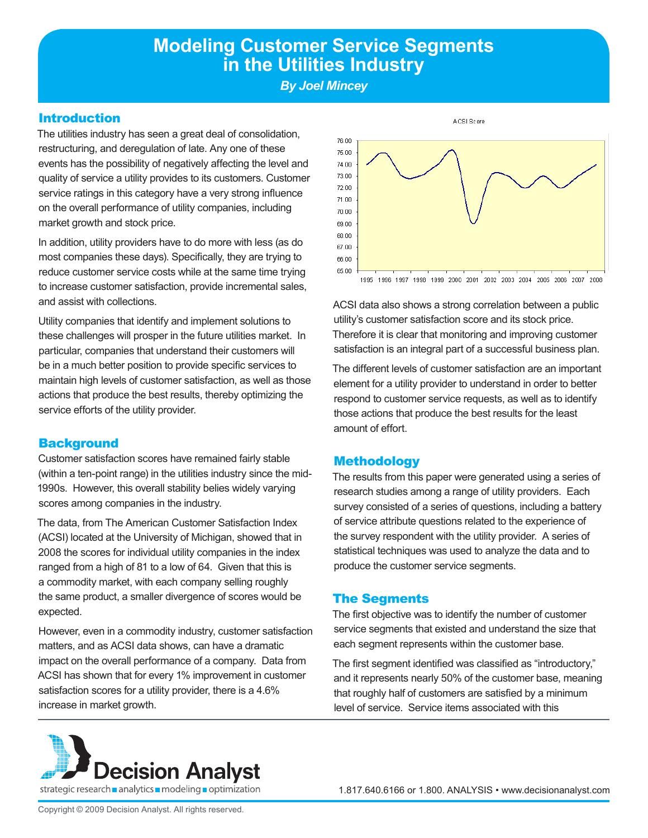# **Modeling Customer Service Segments in the Utilities Industry**

*By Joel Mincey*

#### Introduction

The utilities industry has seen a great deal of consolidation, restructuring, and deregulation of late. Any one of these events has the possibility of negatively affecting the level and quality of service a utility provides to its customers. Customer service ratings in this category have a very strong influence on the overall performance of utility companies, including market growth and stock price.

In addition, utility providers have to do more with less (as do most companies these days). Specifically, they are trying to reduce customer service costs while at the same time trying to increase customer satisfaction, provide incremental sales, and assist with collections.

Utility companies that identify and implement solutions to these challenges will prosper in the future utilities market. In particular, companies that understand their customers will be in a much better position to provide specific services to maintain high levels of customer satisfaction, as well as those actions that produce the best results, thereby optimizing the service efforts of the utility provider.

#### **Background**

Customer satisfaction scores have remained fairly stable (within a ten-point range) in the utilities industry since the mid-1990s. However, this overall stability belies widely varying scores among companies in the industry.

The data, from The American Customer Satisfaction Index (ACSI) located at the University of Michigan, showed that in 2008 the scores for individual utility companies in the index ranged from a high of 81 to a low of 64. Given that this is a commodity market, with each company selling roughly the same product, a smaller divergence of scores would be expected.

However, even in a commodity industry, customer satisfaction matters, and as ACSI data shows, can have a dramatic impact on the overall performance of a company. Data from ACSI has shown that for every 1% improvement in customer satisfaction scores for a utility provider, there is a 4.6% increase in market growth.



A CSI Score

1995 1996 1997 1998 1999 2000 2001 2002 2003 2004 2005 2006 2007 2008

ACSI data also shows a strong correlation between a public utility's customer satisfaction score and its stock price. Therefore it is clear that monitoring and improving customer satisfaction is an integral part of a successful business plan.

The different levels of customer satisfaction are an important element for a utility provider to understand in order to better respond to customer service requests, as well as to identify those actions that produce the best results for the least amount of effort.

## **Methodology**

The results from this paper were generated using a series of research studies among a range of utility providers. Each survey consisted of a series of questions, including a battery of service attribute questions related to the experience of the survey respondent with the utility provider. A series of statistical techniques was used to analyze the data and to produce the customer service segments.

## The Segments

The first objective was to identify the number of customer service segments that existed and understand the size that each segment represents within the customer base.

The first segment identified was classified as "introductory," and it represents nearly 50% of the customer base, meaning that roughly half of customers are satisfied by a minimum level of service. Service items associated with this